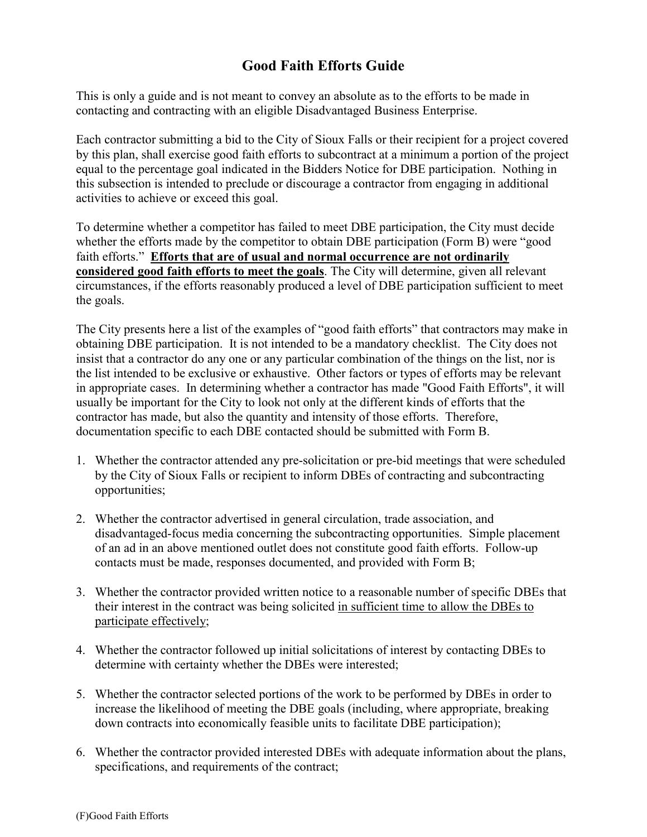## **Good Faith Efforts Guide**

This is only a guide and is not meant to convey an absolute as to the efforts to be made in contacting and contracting with an eligible Disadvantaged Business Enterprise.

Each contractor submitting a bid to the City of Sioux Falls or their recipient for a project covered by this plan, shall exercise good faith efforts to subcontract at a minimum a portion of the project equal to the percentage goal indicated in the Bidders Notice for DBE participation. Nothing in this subsection is intended to preclude or discourage a contractor from engaging in additional activities to achieve or exceed this goal.

To determine whether a competitor has failed to meet DBE participation, the City must decide whether the efforts made by the competitor to obtain DBE participation (Form B) were "good faith efforts." **Efforts that are of usual and normal occurrence are not ordinarily considered good faith efforts to meet the goals**. The City will determine, given all relevant circumstances, if the efforts reasonably produced a level of DBE participation sufficient to meet the goals.

The City presents here a list of the examples of "good faith efforts" that contractors may make in obtaining DBE participation. It is not intended to be a mandatory checklist. The City does not insist that a contractor do any one or any particular combination of the things on the list, nor is the list intended to be exclusive or exhaustive. Other factors or types of efforts may be relevant in appropriate cases. In determining whether a contractor has made "Good Faith Efforts", it will usually be important for the City to look not only at the different kinds of efforts that the contractor has made, but also the quantity and intensity of those efforts. Therefore, documentation specific to each DBE contacted should be submitted with Form B.

- 1. Whether the contractor attended any pre-solicitation or pre-bid meetings that were scheduled by the City of Sioux Falls or recipient to inform DBEs of contracting and subcontracting opportunities;
- 2. Whether the contractor advertised in general circulation, trade association, and disadvantaged-focus media concerning the subcontracting opportunities. Simple placement of an ad in an above mentioned outlet does not constitute good faith efforts. Follow-up contacts must be made, responses documented, and provided with Form B;
- 3. Whether the contractor provided written notice to a reasonable number of specific DBEs that their interest in the contract was being solicited in sufficient time to allow the DBEs to participate effectively;
- 4. Whether the contractor followed up initial solicitations of interest by contacting DBEs to determine with certainty whether the DBEs were interested;
- 5. Whether the contractor selected portions of the work to be performed by DBEs in order to increase the likelihood of meeting the DBE goals (including, where appropriate, breaking down contracts into economically feasible units to facilitate DBE participation);
- 6. Whether the contractor provided interested DBEs with adequate information about the plans, specifications, and requirements of the contract;